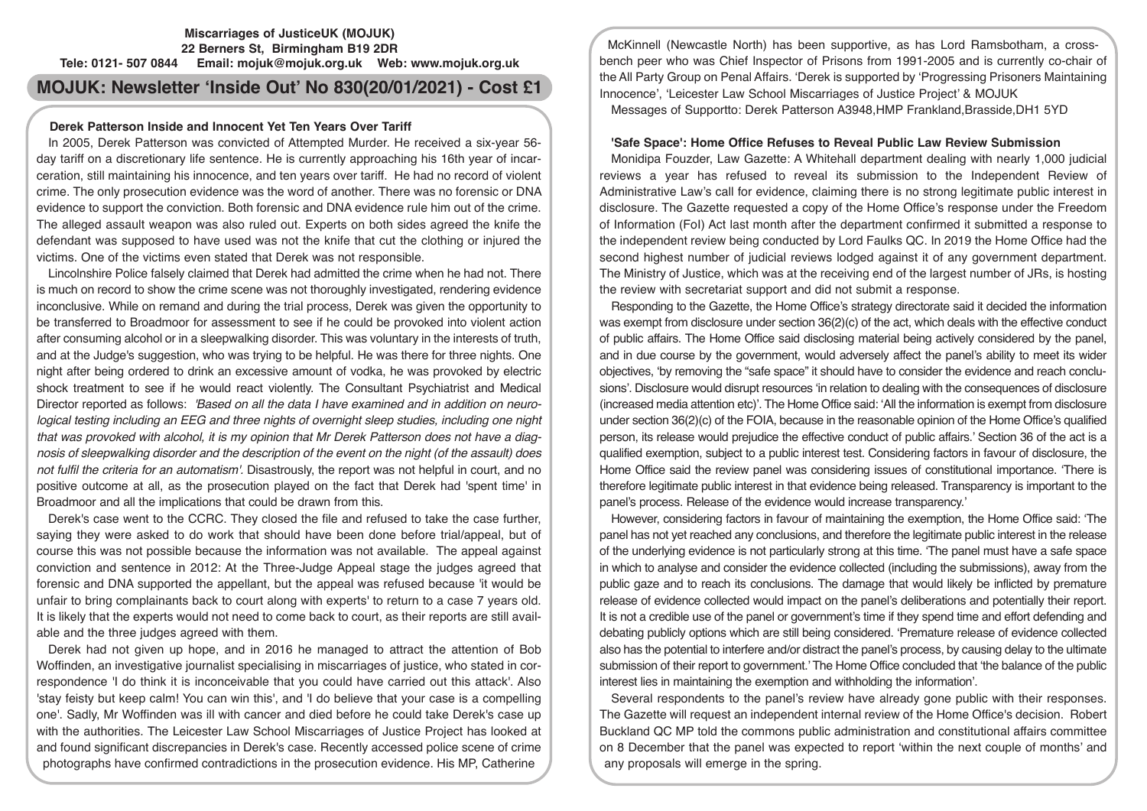# **Miscarriages of JusticeUK (MOJUK) 22 Berners St, Birmingham B19 2DR Tele: 0121- 507 0844 Email: mojuk@mojuk.org.uk Web: www.mojuk.org.uk**

**MOJUK: Newsletter 'Inside Out' No 830(20/01/2021) - Cost £1**

#### **Derek Patterson Inside and Innocent Yet Ten Years Over Tariff**

In 2005, Derek Patterson was convicted of Attempted Murder. He received a six-year 56 day tariff on a discretionary life sentence. He is currently approaching his 16th year of incarceration, still maintaining his innocence, and ten years over tariff. He had no record of violent crime. The only prosecution evidence was the word of another. There was no forensic or DNA evidence to support the conviction. Both forensic and DNA evidence rule him out of the crime. The alleged assault weapon was also ruled out. Experts on both sides agreed the knife the defendant was supposed to have used was not the knife that cut the clothing or injured the victims. One of the victims even stated that Derek was not responsible.

Lincolnshire Police falsely claimed that Derek had admitted the crime when he had not. There is much on record to show the crime scene was not thoroughly investigated, rendering evidence inconclusive. While on remand and during the trial process, Derek was given the opportunity to be transferred to Broadmoor for assessment to see if he could be provoked into violent action after consuming alcohol or in a sleepwalking disorder. This was voluntary in the interests of truth, and at the Judge's suggestion, who was trying to be helpful. He was there for three nights. One night after being ordered to drink an excessive amount of vodka, he was provoked by electric shock treatment to see if he would react violently. The Consultant Psychiatrist and Medical Director reported as follows: *'Based on all the data I have examined and in addition on neurological testing including an EEG and three nights of overnight sleep studies, including one night that was provoked with alcohol, it is my opinion that Mr Derek Patterson does not have a diagnosis of sleepwalking disorder and the description of the event on the night (of the assault) does not fulfil the criteria for an automatism'.* Disastrously, the report was not helpful in court, and no positive outcome at all, as the prosecution played on the fact that Derek had 'spent time' in Broadmoor and all the implications that could be drawn from this.

Derek's case went to the CCRC. They closed the file and refused to take the case further, saying they were asked to do work that should have been done before trial/appeal, but of course this was not possible because the information was not available. The appeal against conviction and sentence in 2012: At the Three-Judge Appeal stage the judges agreed that forensic and DNA supported the appellant, but the appeal was refused because 'it would be unfair to bring complainants back to court along with experts' to return to a case 7 years old. It is likely that the experts would not need to come back to court, as their reports are still available and the three judges agreed with them.

Derek had not given up hope, and in 2016 he managed to attract the attention of Bob Woffinden, an investigative journalist specialising in miscarriages of justice, who stated in correspondence 'I do think it is inconceivable that you could have carried out this attack'. Also 'stay feisty but keep calm! You can win this', and 'I do believe that your case is a compelling one'. Sadly, Mr Woffinden was ill with cancer and died before he could take Derek's case up with the authorities. The Leicester Law School Miscarriages of Justice Project has looked at and found significant discrepancies in Derek's case. Recently accessed police scene of crime photographs have confirmed contradictions in the prosecution evidence. His MP, Catherine

McKinnell (Newcastle North) has been supportive, as has Lord Ramsbotham, a crossbench peer who was Chief Inspector of Prisons from 1991-2005 and is currently co-chair of the All Party Group on Penal Affairs. 'Derek is supported by 'Progressing Prisoners Maintaining Innocence', 'Leicester Law School Miscarriages of Justice Project' & MOJUK

Messages of Supportto: Derek Patterson A3948,HMP Frankland,Brasside,DH1 5YD

#### **'Safe Space': Home Office Refuses to Reveal Public Law Review Submission**

Monidipa Fouzder, Law Gazette: A Whitehall department dealing with nearly 1,000 judicial reviews a year has refused to reveal its submission to the Independent Review of Administrative Law's call for evidence, claiming there is no strong legitimate public interest in disclosure. The Gazette requested a copy of the Home Office's response under the Freedom of Information (FoI) Act last month after the department confirmed it submitted a response to the independent review being conducted by Lord Faulks QC. In 2019 the Home Office had the second highest number of judicial reviews lodged against it of any government department. The Ministry of Justice, which was at the receiving end of the largest number of JRs, is hosting the review with secretariat support and did not submit a response.

Responding to the Gazette, the Home Office's strategy directorate said it decided the information was exempt from disclosure under section  $36(2)(c)$  of the act, which deals with the effective conduct of public affairs. The Home Office said disclosing material being actively considered by the panel, and in due course by the government, would adversely affect the panel's ability to meet its wider objectives, 'by removing the "safe space" it should have to consider the evidence and reach conclusions'. Disclosure would disrupt resources 'in relation to dealing with the consequences of disclosure (increased media attention etc)'. The Home Office said: 'All the information is exempt from disclosure under section 36(2)(c) of the FOIA, because in the reasonable opinion of the Home Office's qualified person, its release would prejudice the effective conduct of public affairs.' Section 36 of the act is a qualified exemption, subject to a public interest test. Considering factors in favour of disclosure, the Home Office said the review panel was considering issues of constitutional importance. 'There is therefore legitimate public interest in that evidence being released. Transparency is important to the panel's process. Release of the evidence would increase transparency.'

However, considering factors in favour of maintaining the exemption, the Home Office said: 'The panel has not yet reached any conclusions, and therefore the legitimate public interest in the release of the underlying evidence is not particularly strong at this time. 'The panel must have a safe space in which to analyse and consider the evidence collected (including the submissions), away from the public gaze and to reach its conclusions. The damage that would likely be inflicted by premature release of evidence collected would impact on the panel's deliberations and potentially their report. It is not a credible use of the panel or government's time if they spend time and effort defending and debating publicly options which are still being considered. 'Premature release of evidence collected also has the potential to interfere and/or distract the panel's process, by causing delay to the ultimate submission of their report to government.' The Home Office concluded that 'the balance of the public interest lies in maintaining the exemption and withholding the information'.

Several respondents to the panel's review have already gone public with their responses. The Gazette will request an independent internal review of the Home Office's decision. Robert Buckland QC MP told the commons public administration and constitutional affairs committee on 8 December that the panel was expected to report 'within the next couple of months' and any proposals will emerge in the spring.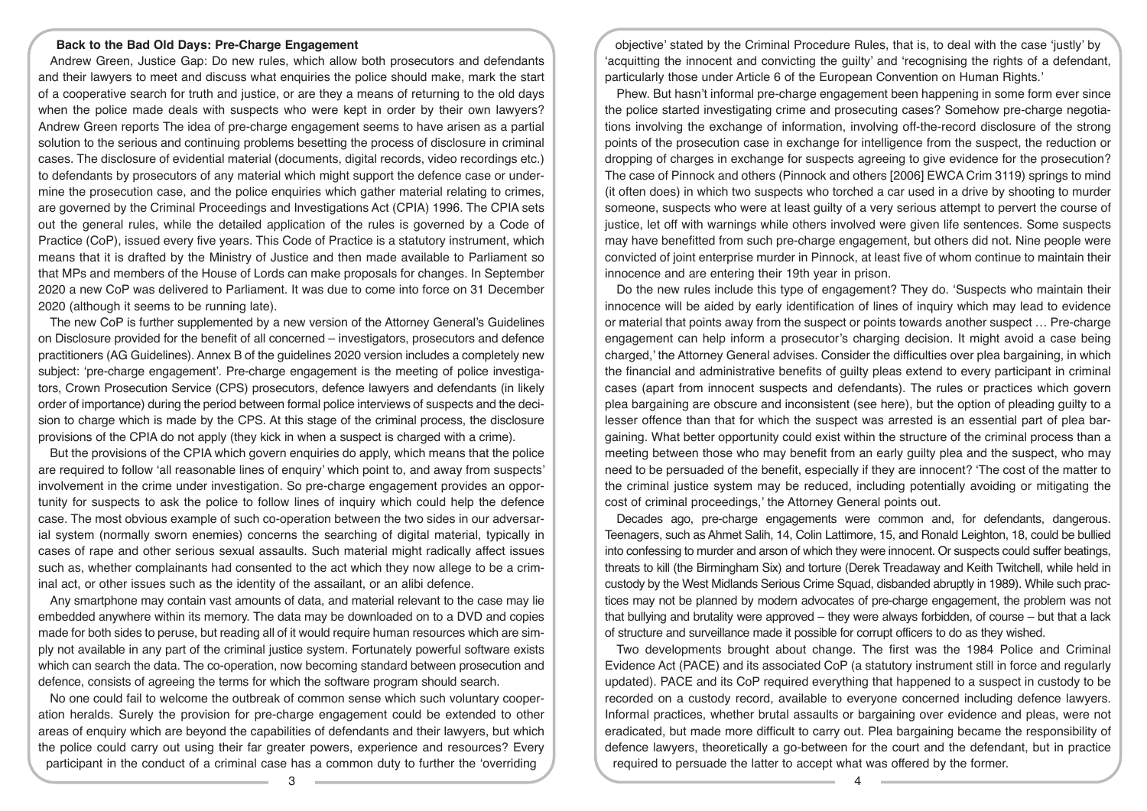# **Back to the Bad Old Days: Pre-Charge Engagement**

Andrew Green, Justice Gap: Do new rules, which allow both prosecutors and defendants and their lawyers to meet and discuss what enquiries the police should make, mark the start of a cooperative search for truth and justice, or are they a means of returning to the old days when the police made deals with suspects who were kept in order by their own lawyers? Andrew Green reports The idea of pre-charge engagement seems to have arisen as a partial solution to the serious and continuing problems besetting the process of disclosure in criminal cases. The disclosure of evidential material (documents, digital records, video recordings etc.) to defendants by prosecutors of any material which might support the defence case or undermine the prosecution case, and the police enquiries which gather material relating to crimes, are governed by the Criminal Proceedings and Investigations Act (CPIA) 1996. The CPIA sets out the general rules, while the detailed application of the rules is governed by a Code of Practice (CoP), issued every five years. This Code of Practice is a statutory instrument, which means that it is drafted by the Ministry of Justice and then made available to Parliament so that MPs and members of the House of Lords can make proposals for changes. In September 2020 a new CoP was delivered to Parliament. It was due to come into force on 31 December 2020 (although it seems to be running late).

The new CoP is further supplemented by a new version of the Attorney General's Guidelines on Disclosure provided for the benefit of all concerned – investigators, prosecutors and defence practitioners (AG Guidelines). Annex B of the guidelines 2020 version includes a completely new subject: 'pre-charge engagement'. Pre-charge engagement is the meeting of police investigators, Crown Prosecution Service (CPS) prosecutors, defence lawyers and defendants (in likely order of importance) during the period between formal police interviews of suspects and the decision to charge which is made by the CPS. At this stage of the criminal process, the disclosure provisions of the CPIA do not apply (they kick in when a suspect is charged with a crime).

But the provisions of the CPIA which govern enquiries do apply, which means that the police are required to follow 'all reasonable lines of enquiry' which point to, and away from suspects' involvement in the crime under investigation. So pre-charge engagement provides an opportunity for suspects to ask the police to follow lines of inquiry which could help the defence case. The most obvious example of such co-operation between the two sides in our adversarial system (normally sworn enemies) concerns the searching of digital material, typically in cases of rape and other serious sexual assaults. Such material might radically affect issues such as, whether complainants had consented to the act which they now allege to be a criminal act, or other issues such as the identity of the assailant, or an alibi defence.

Any smartphone may contain vast amounts of data, and material relevant to the case may lie embedded anywhere within its memory. The data may be downloaded on to a DVD and copies made for both sides to peruse, but reading all of it would require human resources which are simply not available in any part of the criminal justice system. Fortunately powerful software exists which can search the data. The co-operation, now becoming standard between prosecution and defence, consists of agreeing the terms for which the software program should search.

No one could fail to welcome the outbreak of common sense which such voluntary cooperation heralds. Surely the provision for pre-charge engagement could be extended to other areas of enquiry which are beyond the capabilities of defendants and their lawyers, but which the police could carry out using their far greater powers, experience and resources? Every participant in the conduct of a criminal case has a common duty to further the 'overriding

objective' stated by the Criminal Procedure Rules, that is, to deal with the case 'justly' by 'acquitting the innocent and convicting the guilty' and 'recognising the rights of a defendant, particularly those under Article 6 of the European Convention on Human Rights.'

Phew. But hasn't informal pre-charge engagement been happening in some form ever since the police started investigating crime and prosecuting cases? Somehow pre-charge negotiations involving the exchange of information, involving off-the-record disclosure of the strong points of the prosecution case in exchange for intelligence from the suspect, the reduction or dropping of charges in exchange for suspects agreeing to give evidence for the prosecution? The case of Pinnock and others (Pinnock and others [2006] EWCA Crim 3119) springs to mind (it often does) in which two suspects who torched a car used in a drive by shooting to murder someone, suspects who were at least guilty of a very serious attempt to pervert the course of justice, let off with warnings while others involved were given life sentences. Some suspects may have benefitted from such pre-charge engagement, but others did not. Nine people were convicted of joint enterprise murder in Pinnock, at least five of whom continue to maintain their innocence and are entering their 19th year in prison.

Do the new rules include this type of engagement? They do. 'Suspects who maintain their innocence will be aided by early identification of lines of inquiry which may lead to evidence or material that points away from the suspect or points towards another suspect … Pre-charge engagement can help inform a prosecutor's charging decision. It might avoid a case being charged,' the Attorney General advises. Consider the difficulties over plea bargaining, in which the financial and administrative benefits of guilty pleas extend to every participant in criminal cases (apart from innocent suspects and defendants). The rules or practices which govern plea bargaining are obscure and inconsistent (see here), but the option of pleading guilty to a lesser offence than that for which the suspect was arrested is an essential part of plea bargaining. What better opportunity could exist within the structure of the criminal process than a meeting between those who may benefit from an early guilty plea and the suspect, who may need to be persuaded of the benefit, especially if they are innocent? 'The cost of the matter to the criminal justice system may be reduced, including potentially avoiding or mitigating the cost of criminal proceedings,' the Attorney General points out.

Decades ago, pre-charge engagements were common and, for defendants, dangerous. Teenagers, such as Ahmet Salih, 14, Colin Lattimore, 15, and Ronald Leighton, 18, could be bullied into confessing to murder and arson of which they were innocent. Or suspects could suffer beatings, threats to kill (the Birmingham Six) and torture (Derek Treadaway and Keith Twitchell, while held in custody by the West Midlands Serious Crime Squad, disbanded abruptly in 1989). While such practices may not be planned by modern advocates of pre-charge engagement, the problem was not that bullying and brutality were approved – they were always forbidden, of course – but that a lack of structure and surveillance made it possible for corrupt officers to do as they wished.

Two developments brought about change. The first was the 1984 Police and Criminal Evidence Act (PACE) and its associated CoP (a statutory instrument still in force and regularly updated). PACE and its CoP required everything that happened to a suspect in custody to be recorded on a custody record, available to everyone concerned including defence lawyers. Informal practices, whether brutal assaults or bargaining over evidence and pleas, were not eradicated, but made more difficult to carry out. Plea bargaining became the responsibility of defence lawyers, theoretically a go-between for the court and the defendant, but in practice required to persuade the latter to accept what was offered by the former.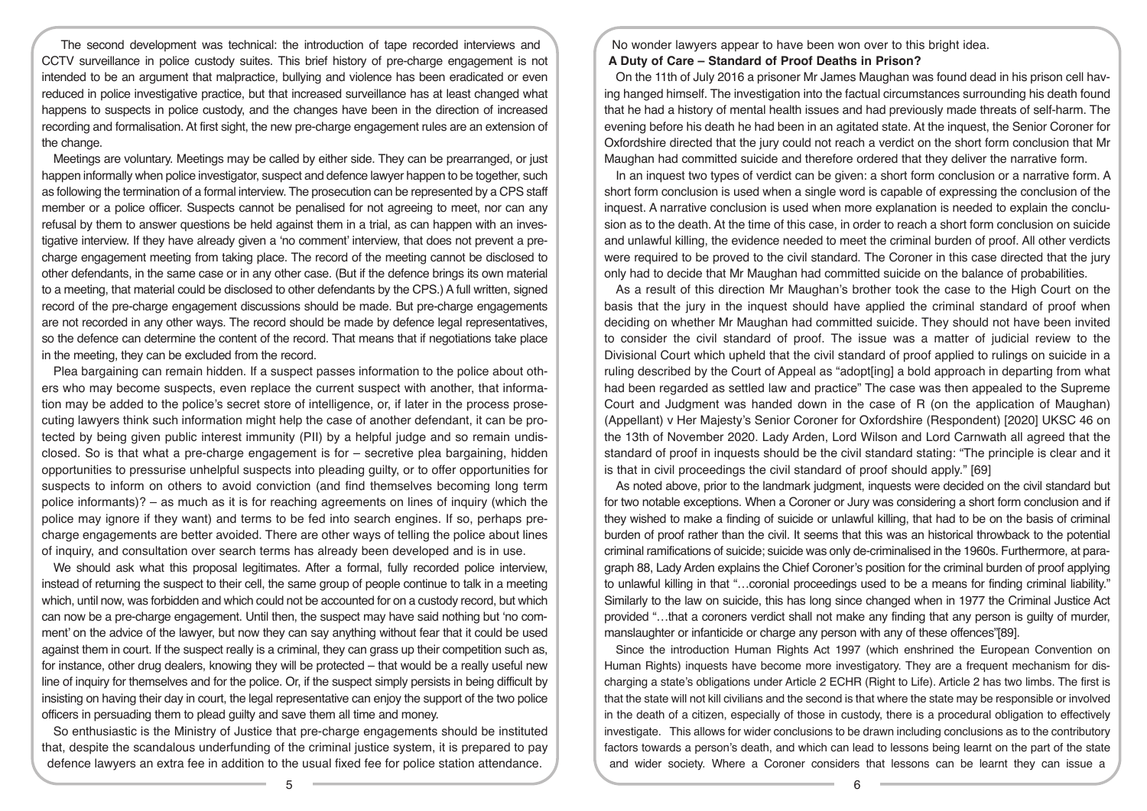The second development was technical: the introduction of tape recorded interviews and CCTV surveillance in police custody suites. This brief history of pre-charge engagement is not intended to be an argument that malpractice, bullying and violence has been eradicated or even reduced in police investigative practice, but that increased surveillance has at least changed what happens to suspects in police custody, and the changes have been in the direction of increased recording and formalisation. At first sight, the new pre-charge engagement rules are an extension of the change.

Meetings are voluntary. Meetings may be called by either side. They can be prearranged, or just happen informally when police investigator, suspect and defence lawyer happen to be together, such as following the termination of a formal interview. The prosecution can be represented by a CPS staff member or a police officer. Suspects cannot be penalised for not agreeing to meet, nor can any refusal by them to answer questions be held against them in a trial, as can happen with an investigative interview. If they have already given a 'no comment' interview, that does not prevent a precharge engagement meeting from taking place. The record of the meeting cannot be disclosed to other defendants, in the same case or in any other case. (But if the defence brings its own material to a meeting, that material could be disclosed to other defendants by the CPS.) A full written, signed record of the pre-charge engagement discussions should be made. But pre-charge engagements are not recorded in any other ways. The record should be made by defence legal representatives, so the defence can determine the content of the record. That means that if negotiations take place in the meeting, they can be excluded from the record.

Plea bargaining can remain hidden. If a suspect passes information to the police about others who may become suspects, even replace the current suspect with another, that information may be added to the police's secret store of intelligence, or, if later in the process prosecuting lawyers think such information might help the case of another defendant, it can be protected by being given public interest immunity (PII) by a helpful judge and so remain undisclosed. So is that what a pre-charge engagement is for – secretive plea bargaining, hidden opportunities to pressurise unhelpful suspects into pleading guilty, or to offer opportunities for suspects to inform on others to avoid conviction (and find themselves becoming long term police informants)? – as much as it is for reaching agreements on lines of inquiry (which the police may ignore if they want) and terms to be fed into search engines. If so, perhaps precharge engagements are better avoided. There are other ways of telling the police about lines of inquiry, and consultation over search terms has already been developed and is in use.

We should ask what this proposal legitimates. After a formal, fully recorded police interview, instead of returning the suspect to their cell, the same group of people continue to talk in a meeting which, until now, was forbidden and which could not be accounted for on a custody record, but which can now be a pre-charge engagement. Until then, the suspect may have said nothing but 'no comment' on the advice of the lawyer, but now they can say anything without fear that it could be used against them in court. If the suspect really is a criminal, they can grass up their competition such as, for instance, other drug dealers, knowing they will be protected – that would be a really useful new line of inquiry for themselves and for the police. Or, if the suspect simply persists in being difficult by insisting on having their day in court, the legal representative can enjoy the support of the two police officers in persuading them to plead guilty and save them all time and money.

So enthusiastic is the Ministry of Justice that pre-charge engagements should be instituted that, despite the scandalous underfunding of the criminal justice system, it is prepared to pay defence lawyers an extra fee in addition to the usual fixed fee for police station attendance.

No wonder lawyers appear to have been won over to this bright idea.

#### **A Duty of Care – Standard of Proof Deaths in Prison?**

On the 11th of July 2016 a prisoner Mr James Maughan was found dead in his prison cell having hanged himself. The investigation into the factual circumstances surrounding his death found that he had a history of mental health issues and had previously made threats of self-harm. The evening before his death he had been in an agitated state. At the inquest, the Senior Coroner for Oxfordshire directed that the jury could not reach a verdict on the short form conclusion that Mr Maughan had committed suicide and therefore ordered that they deliver the narrative form.

In an inquest two types of verdict can be given: a short form conclusion or a narrative form. A short form conclusion is used when a single word is capable of expressing the conclusion of the inquest. A narrative conclusion is used when more explanation is needed to explain the conclusion as to the death. At the time of this case, in order to reach a short form conclusion on suicide and unlawful killing, the evidence needed to meet the criminal burden of proof. All other verdicts were required to be proved to the civil standard. The Coroner in this case directed that the jury only had to decide that Mr Maughan had committed suicide on the balance of probabilities.

As a result of this direction Mr Maughan's brother took the case to the High Court on the basis that the jury in the inquest should have applied the criminal standard of proof when deciding on whether Mr Maughan had committed suicide. They should not have been invited to consider the civil standard of proof. The issue was a matter of judicial review to the Divisional Court which upheld that the civil standard of proof applied to rulings on suicide in a ruling described by the Court of Appeal as "adopt[ing] a bold approach in departing from what had been regarded as settled law and practice" The case was then appealed to the Supreme Court and Judgment was handed down in the case of R (on the application of Maughan) (Appellant) v Her Majesty's Senior Coroner for Oxfordshire (Respondent) [2020] UKSC 46 on the 13th of November 2020. Lady Arden, Lord Wilson and Lord Carnwath all agreed that the standard of proof in inquests should be the civil standard stating: "The principle is clear and it is that in civil proceedings the civil standard of proof should apply." [69]

As noted above, prior to the landmark judgment, inquests were decided on the civil standard but for two notable exceptions. When a Coroner or Jury was considering a short form conclusion and if they wished to make a finding of suicide or unlawful killing, that had to be on the basis of criminal burden of proof rather than the civil. It seems that this was an historical throwback to the potential criminal ramifications of suicide; suicide was only de-criminalised in the 1960s. Furthermore, at paragraph 88, Lady Arden explains the Chief Coroner's position for the criminal burden of proof applying to unlawful killing in that "…coronial proceedings used to be a means for finding criminal liability." Similarly to the law on suicide, this has long since changed when in 1977 the Criminal Justice Act provided "…that a coroners verdict shall not make any finding that any person is guilty of murder, manslaughter or infanticide or charge any person with any of these offences"[89].

Since the introduction Human Rights Act 1997 (which enshrined the European Convention on Human Rights) inquests have become more investigatory. They are a frequent mechanism for discharging a state's obligations under Article 2 ECHR (Right to Life). Article 2 has two limbs. The first is that the state will not kill civilians and the second is that where the state may be responsible or involved in the death of a citizen, especially of those in custody, there is a procedural obligation to effectively investigate. This allows for wider conclusions to be drawn including conclusions as to the contributory factors towards a person's death, and which can lead to lessons being learnt on the part of the state and wider society. Where a Coroner considers that lessons can be learnt they can issue a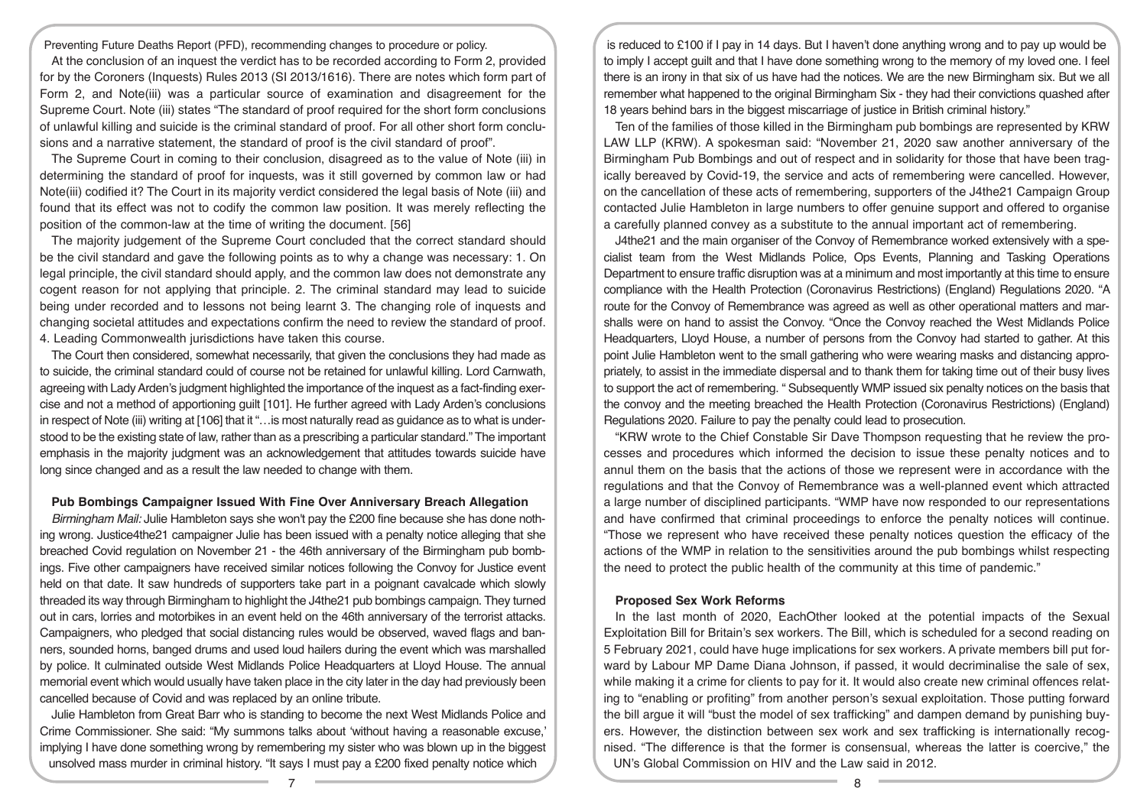Preventing Future Deaths Report (PFD), recommending changes to procedure or policy.

At the conclusion of an inquest the verdict has to be recorded according to Form 2, provided for by the Coroners (Inquests) Rules 2013 (SI 2013/1616). There are notes which form part of Form 2, and Note(iii) was a particular source of examination and disagreement for the Supreme Court. Note (iii) states "The standard of proof required for the short form conclusions of unlawful killing and suicide is the criminal standard of proof. For all other short form conclusions and a narrative statement, the standard of proof is the civil standard of proof".

The Supreme Court in coming to their conclusion, disagreed as to the value of Note (iii) in determining the standard of proof for inquests, was it still governed by common law or had Note(iii) codified it? The Court in its majority verdict considered the legal basis of Note (iii) and found that its effect was not to codify the common law position. It was merely reflecting the position of the common-law at the time of writing the document. [56]

The majority judgement of the Supreme Court concluded that the correct standard should be the civil standard and gave the following points as to why a change was necessary: 1. On legal principle, the civil standard should apply, and the common law does not demonstrate any cogent reason for not applying that principle. 2. The criminal standard may lead to suicide being under recorded and to lessons not being learnt 3. The changing role of inquests and changing societal attitudes and expectations confirm the need to review the standard of proof. 4. Leading Commonwealth jurisdictions have taken this course.

The Court then considered, somewhat necessarily, that given the conclusions they had made as to suicide, the criminal standard could of course not be retained for unlawful killing. Lord Carnwath, agreeing with Lady Arden's judgment highlighted the importance of the inquest as a fact-finding exercise and not a method of apportioning guilt [101]. He further agreed with Lady Arden's conclusions in respect of Note (iii) writing at [106] that it "…is most naturally read as guidance as to what is understood to be the existing state of law, rather than as a prescribing a particular standard." The important emphasis in the majority judgment was an acknowledgement that attitudes towards suicide have long since changed and as a result the law needed to change with them.

### **Pub Bombings Campaigner Issued With Fine Over Anniversary Breach Allegation**

*Birmingham Mail:* Julie Hambleton says she won't pay the £200 fine because she has done nothing wrong. Justice4the21 campaigner Julie has been issued with a penalty notice alleging that she breached Covid regulation on November 21 - the 46th anniversary of the Birmingham pub bombings. Five other campaigners have received similar notices following the Convoy for Justice event held on that date. It saw hundreds of supporters take part in a poignant cavalcade which slowly threaded its way through Birmingham to highlight the J4the21 pub bombings campaign. They turned out in cars, lorries and motorbikes in an event held on the 46th anniversary of the terrorist attacks. Campaigners, who pledged that social distancing rules would be observed, waved flags and banners, sounded horns, banged drums and used loud hailers during the event which was marshalled by police. It culminated outside West Midlands Police Headquarters at Lloyd House. The annual memorial event which would usually have taken place in the city later in the day had previously been cancelled because of Covid and was replaced by an online tribute.

Julie Hambleton from Great Barr who is standing to become the next West Midlands Police and Crime Commissioner. She said: "My summons talks about 'without having a reasonable excuse,' implying I have done something wrong by remembering my sister who was blown up in the biggest unsolved mass murder in criminal history. "It says I must pay a £200 fixed penalty notice which

is reduced to £100 if I pay in 14 days. But I haven't done anything wrong and to pay up would be to imply I accept guilt and that I have done something wrong to the memory of my loved one. I feel there is an irony in that six of us have had the notices. We are the new Birmingham six. But we all remember what happened to the original Birmingham Six - they had their convictions quashed after 18 years behind bars in the biggest miscarriage of justice in British criminal history."

Ten of the families of those killed in the Birmingham pub bombings are represented by KRW LAW LLP (KRW). A spokesman said: "November 21, 2020 saw another anniversary of the Birmingham Pub Bombings and out of respect and in solidarity for those that have been tragically bereaved by Covid-19, the service and acts of remembering were cancelled. However, on the cancellation of these acts of remembering, supporters of the J4the21 Campaign Group contacted Julie Hambleton in large numbers to offer genuine support and offered to organise a carefully planned convey as a substitute to the annual important act of remembering.

J4the21 and the main organiser of the Convoy of Remembrance worked extensively with a specialist team from the West Midlands Police, Ops Events, Planning and Tasking Operations Department to ensure traffic disruption was at a minimum and most importantly at this time to ensure compliance with the Health Protection (Coronavirus Restrictions) (England) Regulations 2020. "A route for the Convoy of Remembrance was agreed as well as other operational matters and marshalls were on hand to assist the Convoy. "Once the Convoy reached the West Midlands Police Headquarters, Lloyd House, a number of persons from the Convoy had started to gather. At this point Julie Hambleton went to the small gathering who were wearing masks and distancing appropriately, to assist in the immediate dispersal and to thank them for taking time out of their busy lives to support the act of remembering. " Subsequently WMP issued six penalty notices on the basis that the convoy and the meeting breached the Health Protection (Coronavirus Restrictions) (England) Regulations 2020. Failure to pay the penalty could lead to prosecution.

"KRW wrote to the Chief Constable Sir Dave Thompson requesting that he review the processes and procedures which informed the decision to issue these penalty notices and to annul them on the basis that the actions of those we represent were in accordance with the regulations and that the Convoy of Remembrance was a well-planned event which attracted a large number of disciplined participants. "WMP have now responded to our representations and have confirmed that criminal proceedings to enforce the penalty notices will continue. "Those we represent who have received these penalty notices question the efficacy of the actions of the WMP in relation to the sensitivities around the pub bombings whilst respecting the need to protect the public health of the community at this time of pandemic."

# **Proposed Sex Work Reforms**

In the last month of 2020, EachOther looked at the potential impacts of the Sexual Exploitation Bill for Britain's sex workers. The Bill, which is scheduled for a second reading on 5 February 2021, could have huge implications for sex workers. A private members bill put forward by Labour MP Dame Diana Johnson, if passed, it would decriminalise the sale of sex, while making it a crime for clients to pay for it. It would also create new criminal offences relating to "enabling or profiting" from another person's sexual exploitation. Those putting forward the bill argue it will "bust the model of sex trafficking" and dampen demand by punishing buyers. However, the distinction between sex work and sex trafficking is internationally recognised. "The difference is that the former is consensual, whereas the latter is coercive," the UN's Global Commission on HIV and the Law said in 2012.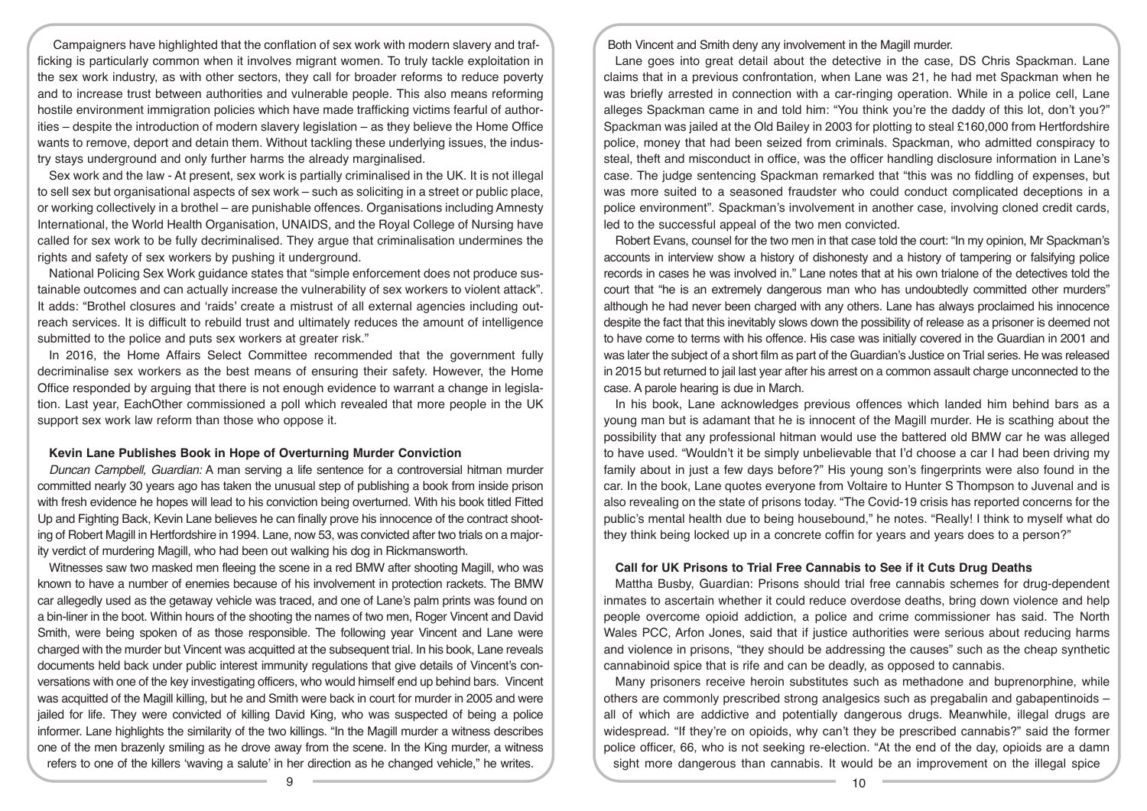Campaigners have highlighted that the conflation of sex work with modern slavery and trafficking is particularly common when it involves migrant women. To truly tackle exploitation in the sex work industry, as with other sectors, they call for broader reforms to reduce poverty and to increase trust between authorities and vulnerable people. This also means reforming hostile environment immigration policies which have made trafficking victims fearful of authorities – despite the introduction of modern slavery legislation – as they believe the Home Office wants to remove, deport and detain them. Without tackling these underlying issues, the industry stays underground and only further harms the already marginalised.

Sex work and the law - At present, sex work is partially criminalised in the UK. It is not illegal to sell sex but organisational aspects of sex work – such as soliciting in a street or public place, or working collectively in a brothel – are punishable offences. Organisations including Amnesty International, the World Health Organisation, UNAIDS, and the Royal College of Nursing have called for sex work to be fully decriminalised. They argue that criminalisation undermines the rights and safety of sex workers by pushing it underground.

National Policing Sex Work guidance states that "simple enforcement does not produce sustainable outcomes and can actually increase the vulnerability of sex workers to violent attack". It adds: "Brothel closures and 'raids' create a mistrust of all external agencies including outreach services. It is difficult to rebuild trust and ultimately reduces the amount of intelligence submitted to the police and puts sex workers at greater risk."

In 2016, the Home Affairs Select Committee recommended that the government fully decriminalise sex workers as the best means of ensuring their safety. However, the Home Office responded by arguing that there is not enough evidence to warrant a change in legislation. Last year, EachOther commissioned a poll which revealed that more people in the UK support sex work law reform than those who oppose it.

### **Kevin Lane Publishes Book in Hope of Overturning Murder Conviction**

*Duncan Campbell, Guardian:* A man serving a life sentence for a controversial hitman murder committed nearly 30 years ago has taken the unusual step of publishing a book from inside prison with fresh evidence he hopes will lead to his conviction being overturned. With his book titled Fitted Up and Fighting Back, Kevin Lane believes he can finally prove his innocence of the contract shooting of Robert Magill in Hertfordshire in 1994. Lane, now 53, was convicted after two trials on a majority verdict of murdering Magill, who had been out walking his dog in Rickmansworth.

Witnesses saw two masked men fleeing the scene in a red BMW after shooting Magill, who was known to have a number of enemies because of his involvement in protection rackets. The BMW car allegedly used as the getaway vehicle was traced, and one of Lane's palm prints was found on a bin-liner in the boot. Within hours of the shooting the names of two men, Roger Vincent and David Smith, were being spoken of as those responsible. The following year Vincent and Lane were charged with the murder but Vincent was acquitted at the subsequent trial. In his book, Lane reveals documents held back under public interest immunity regulations that give details of Vincent's conversations with one of the key investigating officers, who would himself end up behind bars. Vincent was acquitted of the Magill killing, but he and Smith were back in court for murder in 2005 and were jailed for life. They were convicted of killing David King, who was suspected of being a police informer. Lane highlights the similarity of the two killings. "In the Magill murder a witness describes one of the men brazenly smiling as he drove away from the scene. In the King murder, a witness refers to one of the killers 'waving a salute' in her direction as he changed vehicle," he writes.

Both Vincent and Smith deny any involvement in the Magill murder.

Lane goes into great detail about the detective in the case, DS Chris Spackman. Lane claims that in a previous confrontation, when Lane was 21, he had met Spackman when he was briefly arrested in connection with a car-ringing operation. While in a police cell, Lane alleges Spackman came in and told him: "You think you're the daddy of this lot, don't you?" Spackman was jailed at the Old Bailey in 2003 for plotting to steal £160,000 from Hertfordshire police, money that had been seized from criminals. Spackman, who admitted conspiracy to steal, theft and misconduct in office, was the officer handling disclosure information in Lane's case. The judge sentencing Spackman remarked that "this was no fiddling of expenses, but was more suited to a seasoned fraudster who could conduct complicated deceptions in a police environment". Spackman's involvement in another case, involving cloned credit cards, led to the successful appeal of the two men convicted.

Robert Evans, counsel for the two men in that case told the court: "In my opinion, Mr Spackman's accounts in interview show a history of dishonesty and a history of tampering or falsifying police records in cases he was involved in." Lane notes that at his own trialone of the detectives told the court that "he is an extremely dangerous man who has undoubtedly committed other murders" although he had never been charged with any others. Lane has always proclaimed his innocence despite the fact that this inevitably slows down the possibility of release as a prisoner is deemed not to have come to terms with his offence. His case was initially covered in the Guardian in 2001 and was later the subject of a short film as part of the Guardian's Justice on Trial series. He was released in 2015 but returned to jail last year after his arrest on a common assault charge unconnected to the case. A parole hearing is due in March.

In his book, Lane acknowledges previous offences which landed him behind bars as a young man but is adamant that he is innocent of the Magill murder. He is scathing about the possibility that any professional hitman would use the battered old BMW car he was alleged to have used. "Wouldn't it be simply unbelievable that I'd choose a car I had been driving my family about in just a few days before?" His young son's fingerprints were also found in the car. In the book, Lane quotes everyone from Voltaire to Hunter S Thompson to Juvenal and is also revealing on the state of prisons today. "The Covid-19 crisis has reported concerns for the public's mental health due to being housebound," he notes. "Really! I think to myself what do they think being locked up in a concrete coffin for years and years does to a person?"

#### **Call for UK Prisons to Trial Free Cannabis to See if it Cuts Drug Deaths**

Mattha Busby, Guardian: Prisons should trial free cannabis schemes for drug-dependent inmates to ascertain whether it could reduce overdose deaths, bring down violence and help people overcome opioid addiction, a police and crime commissioner has said. The North Wales PCC, Arfon Jones, said that if justice authorities were serious about reducing harms and violence in prisons, "they should be addressing the causes" such as the cheap synthetic cannabinoid spice that is rife and can be deadly, as opposed to cannabis.

Many prisoners receive heroin substitutes such as methadone and buprenorphine, while others are commonly prescribed strong analgesics such as pregabalin and gabapentinoids – all of which are addictive and potentially dangerous drugs. Meanwhile, illegal drugs are widespread. "If they're on opioids, why can't they be prescribed cannabis?" said the former police officer, 66, who is not seeking re-election. "At the end of the day, opioids are a damn sight more dangerous than cannabis. It would be an improvement on the illegal spice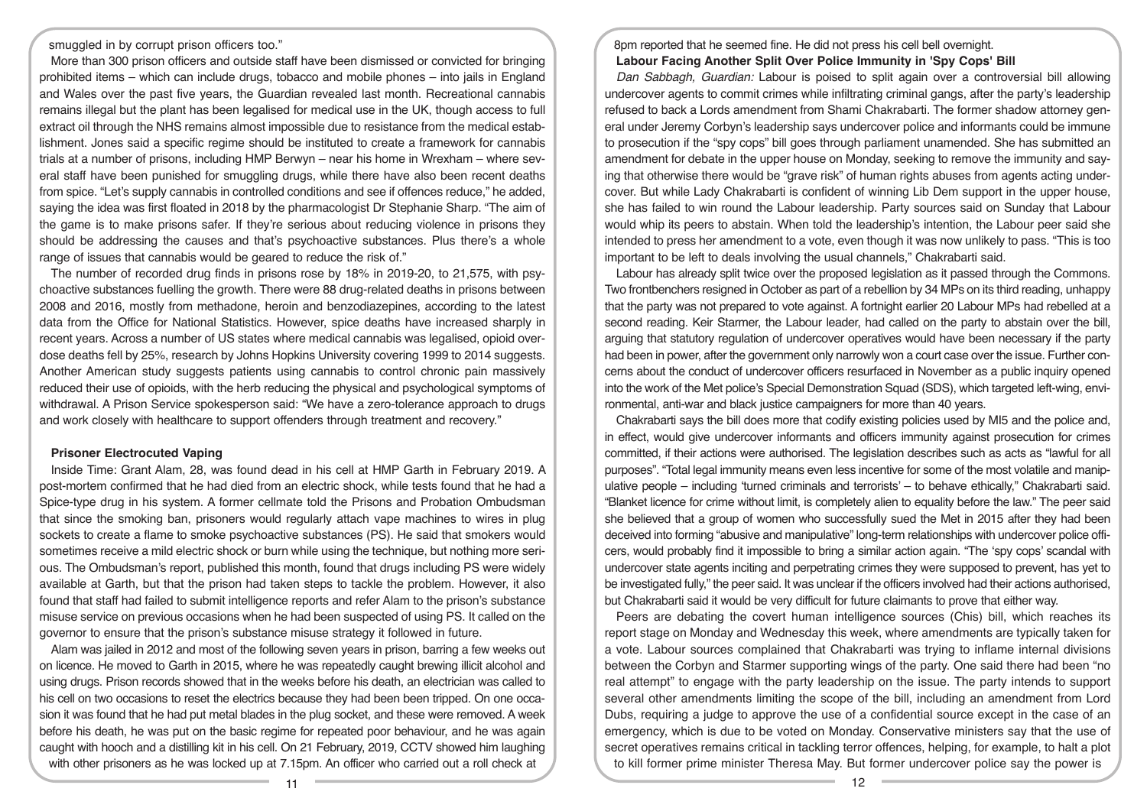smuggled in by corrupt prison officers too."

More than 300 prison officers and outside staff have been dismissed or convicted for bringing prohibited items – which can include drugs, tobacco and mobile phones – into jails in England and Wales over the past five years, the Guardian revealed last month. Recreational cannabis remains illegal but the plant has been legalised for medical use in the UK, though access to full extract oil through the NHS remains almost impossible due to resistance from the medical establishment. Jones said a specific regime should be instituted to create a framework for cannabis trials at a number of prisons, including HMP Berwyn – near his home in Wrexham – where several staff have been punished for smuggling drugs, while there have also been recent deaths from spice. "Let's supply cannabis in controlled conditions and see if offences reduce," he added, saying the idea was first floated in 2018 by the pharmacologist Dr Stephanie Sharp. "The aim of the game is to make prisons safer. If they're serious about reducing violence in prisons they should be addressing the causes and that's psychoactive substances. Plus there's a whole range of issues that cannabis would be geared to reduce the risk of."

The number of recorded drug finds in prisons rose by 18% in 2019-20, to 21,575, with psychoactive substances fuelling the growth. There were 88 drug-related deaths in prisons between 2008 and 2016, mostly from methadone, heroin and benzodiazepines, according to the latest data from the Office for National Statistics. However, spice deaths have increased sharply in recent years. Across a number of US states where medical cannabis was legalised, opioid overdose deaths fell by 25%, research by Johns Hopkins University covering 1999 to 2014 suggests. Another American study suggests patients using cannabis to control chronic pain massively reduced their use of opioids, with the herb reducing the physical and psychological symptoms of withdrawal. A Prison Service spokesperson said: "We have a zero-tolerance approach to drugs and work closely with healthcare to support offenders through treatment and recovery."

### **Prisoner Electrocuted Vaping**

Inside Time: Grant Alam, 28, was found dead in his cell at HMP Garth in February 2019. A post-mortem confirmed that he had died from an electric shock, while tests found that he had a Spice-type drug in his system. A former cellmate told the Prisons and Probation Ombudsman that since the smoking ban, prisoners would regularly attach vape machines to wires in plug sockets to create a flame to smoke psychoactive substances (PS). He said that smokers would sometimes receive a mild electric shock or burn while using the technique, but nothing more serious. The Ombudsman's report, published this month, found that drugs including PS were widely available at Garth, but that the prison had taken steps to tackle the problem. However, it also found that staff had failed to submit intelligence reports and refer Alam to the prison's substance misuse service on previous occasions when he had been suspected of using PS. It called on the governor to ensure that the prison's substance misuse strategy it followed in future.

Alam was jailed in 2012 and most of the following seven years in prison, barring a few weeks out on licence. He moved to Garth in 2015, where he was repeatedly caught brewing illicit alcohol and using drugs. Prison records showed that in the weeks before his death, an electrician was called to his cell on two occasions to reset the electrics because they had been been tripped. On one occasion it was found that he had put metal blades in the plug socket, and these were removed. A week before his death, he was put on the basic regime for repeated poor behaviour, and he was again caught with hooch and a distilling kit in his cell. On 21 February, 2019, CCTV showed him laughing with other prisoners as he was locked up at 7.15pm. An officer who carried out a roll check at

# 8pm reported that he seemed fine. He did not press his cell bell overnight. **Labour Facing Another Split Over Police Immunity in 'Spy Cops' Bill**

*Dan Sabbagh, Guardian:* Labour is poised to split again over a controversial bill allowing undercover agents to commit crimes while infiltrating criminal gangs, after the party's leadership refused to back a Lords amendment from Shami Chakrabarti. The former shadow attorney general under Jeremy Corbyn's leadership says undercover police and informants could be immune to prosecution if the "spy cops" bill goes through parliament unamended. She has submitted an amendment for debate in the upper house on Monday, seeking to remove the immunity and saying that otherwise there would be "grave risk" of human rights abuses from agents acting undercover. But while Lady Chakrabarti is confident of winning Lib Dem support in the upper house, she has failed to win round the Labour leadership. Party sources said on Sunday that Labour would whip its peers to abstain. When told the leadership's intention, the Labour peer said she intended to press her amendment to a vote, even though it was now unlikely to pass. "This is too important to be left to deals involving the usual channels," Chakrabarti said.

Labour has already split twice over the proposed legislation as it passed through the Commons. Two frontbenchers resigned in October as part of a rebellion by 34 MPs on its third reading, unhappy that the party was not prepared to vote against. A fortnight earlier 20 Labour MPs had rebelled at a second reading. Keir Starmer, the Labour leader, had called on the party to abstain over the bill, arguing that statutory regulation of undercover operatives would have been necessary if the party had been in power, after the government only narrowly won a court case over the issue. Further concerns about the conduct of undercover officers resurfaced in November as a public inquiry opened into the work of the Met police's Special Demonstration Squad (SDS), which targeted left-wing, environmental, anti-war and black justice campaigners for more than 40 years.

Chakrabarti says the bill does more that codify existing policies used by MI5 and the police and, in effect, would give undercover informants and officers immunity against prosecution for crimes committed, if their actions were authorised. The legislation describes such as acts as "lawful for all purposes". "Total legal immunity means even less incentive for some of the most volatile and manipulative people – including 'turned criminals and terrorists' – to behave ethically," Chakrabarti said. "Blanket licence for crime without limit, is completely alien to equality before the law." The peer said she believed that a group of women who successfully sued the Met in 2015 after they had been deceived into forming "abusive and manipulative" long-term relationships with undercover police officers, would probably find it impossible to bring a similar action again. "The 'spy cops' scandal with undercover state agents inciting and perpetrating crimes they were supposed to prevent, has yet to be investigated fully," the peer said. It was unclear if the officers involved had their actions authorised, but Chakrabarti said it would be very difficult for future claimants to prove that either way.

Peers are debating the covert human intelligence sources (Chis) bill, which reaches its report stage on Monday and Wednesday this week, where amendments are typically taken for a vote. Labour sources complained that Chakrabarti was trying to inflame internal divisions between the Corbyn and Starmer supporting wings of the party. One said there had been "no real attempt" to engage with the party leadership on the issue. The party intends to support several other amendments limiting the scope of the bill, including an amendment from Lord Dubs, requiring a judge to approve the use of a confidential source except in the case of an emergency, which is due to be voted on Monday. Conservative ministers say that the use of secret operatives remains critical in tackling terror offences, helping, for example, to halt a plot to kill former prime minister Theresa May. But former undercover police say the power is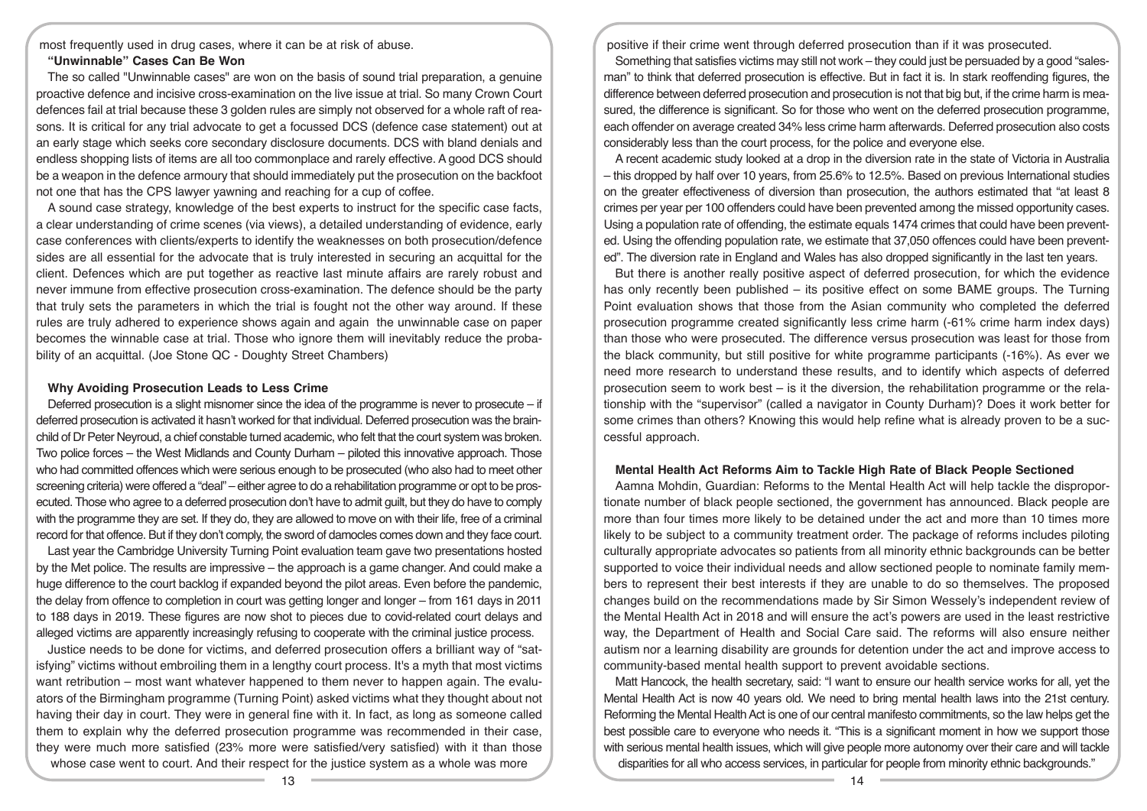most frequently used in drug cases, where it can be at risk of abuse.

# **"Unwinnable" Cases Can Be Won**

The so called "Unwinnable cases" are won on the basis of sound trial preparation, a genuine proactive defence and incisive cross-examination on the live issue at trial. So many Crown Court defences fail at trial because these 3 golden rules are simply not observed for a whole raft of reasons. It is critical for any trial advocate to get a focussed DCS (defence case statement) out at an early stage which seeks core secondary disclosure documents. DCS with bland denials and endless shopping lists of items are all too commonplace and rarely effective. A good DCS should be a weapon in the defence armoury that should immediately put the prosecution on the backfoot not one that has the CPS lawyer yawning and reaching for a cup of coffee.

A sound case strategy, knowledge of the best experts to instruct for the specific case facts, a clear understanding of crime scenes (via views), a detailed understanding of evidence, early case conferences with clients/experts to identify the weaknesses on both prosecution/defence sides are all essential for the advocate that is truly interested in securing an acquittal for the client. Defences which are put together as reactive last minute affairs are rarely robust and never immune from effective prosecution cross-examination. The defence should be the party that truly sets the parameters in which the trial is fought not the other way around. If these rules are truly adhered to experience shows again and again the unwinnable case on paper becomes the winnable case at trial. Those who ignore them will inevitably reduce the probability of an acquittal. (Joe Stone QC - Doughty Street Chambers)

### **Why Avoiding Prosecution Leads to Less Crime**

Deferred prosecution is a slight misnomer since the idea of the programme is never to prosecute – if deferred prosecution is activated it hasn't worked for that individual. Deferred prosecution was the brainchild of Dr Peter Neyroud, a chief constable turned academic, who felt that the court system was broken. Two police forces – the West Midlands and County Durham – piloted this innovative approach. Those who had committed offences which were serious enough to be prosecuted (who also had to meet other screening criteria) were offered a "deal" – either agree to do a rehabilitation programme or opt to be prosecuted. Those who agree to a deferred prosecution don't have to admit guilt, but they do have to comply with the programme they are set. If they do, they are allowed to move on with their life, free of a criminal record for that offence. But if they don't comply, the sword of damocles comes down and they face court.

Last year the Cambridge University Turning Point evaluation team gave two presentations hosted by the Met police. The results are impressive – the approach is a game changer. And could make a huge difference to the court backlog if expanded beyond the pilot areas. Even before the pandemic, the delay from offence to completion in court was getting longer and longer – from 161 days in 2011 to 188 days in 2019. These figures are now shot to pieces due to covid-related court delays and alleged victims are apparently increasingly refusing to cooperate with the criminal justice process.

Justice needs to be done for victims, and deferred prosecution offers a brilliant way of "satisfying" victims without embroiling them in a lengthy court process. It's a myth that most victims want retribution – most want whatever happened to them never to happen again. The evaluators of the Birmingham programme (Turning Point) asked victims what they thought about not having their day in court. They were in general fine with it. In fact, as long as someone called them to explain why the deferred prosecution programme was recommended in their case, they were much more satisfied (23% more were satisfied/very satisfied) with it than those whose case went to court. And their respect for the justice system as a whole was more

positive if their crime went through deferred prosecution than if it was prosecuted.

Something that satisfies victims may still not work – they could just be persuaded by a good "salesman" to think that deferred prosecution is effective. But in fact it is. In stark reoffending figures, the difference between deferred prosecution and prosecution is not that big but, if the crime harm is measured, the difference is significant. So for those who went on the deferred prosecution programme, each offender on average created 34% less crime harm afterwards. Deferred prosecution also costs considerably less than the court process, for the police and everyone else.

A recent academic study looked at a drop in the diversion rate in the state of Victoria in Australia – this dropped by half over 10 years, from 25.6% to 12.5%. Based on previous International studies on the greater effectiveness of diversion than prosecution, the authors estimated that "at least 8 crimes per year per 100 offenders could have been prevented among the missed opportunity cases. Using a population rate of offending, the estimate equals 1474 crimes that could have been prevented. Using the offending population rate, we estimate that 37,050 offences could have been prevented". The diversion rate in England and Wales has also dropped significantly in the last ten years.

But there is another really positive aspect of deferred prosecution, for which the evidence has only recently been published – its positive effect on some BAME groups. The Turning Point evaluation shows that those from the Asian community who completed the deferred prosecution programme created significantly less crime harm (-61% crime harm index days) than those who were prosecuted. The difference versus prosecution was least for those from the black community, but still positive for white programme participants (-16%). As ever we need more research to understand these results, and to identify which aspects of deferred prosecution seem to work best – is it the diversion, the rehabilitation programme or the relationship with the "supervisor" (called a navigator in County Durham)? Does it work better for some crimes than others? Knowing this would help refine what is already proven to be a successful approach.

### **Mental Health Act Reforms Aim to Tackle High Rate of Black People Sectioned**

Aamna Mohdin, Guardian: Reforms to the Mental Health Act will help tackle the disproportionate number of black people sectioned, the government has announced. Black people are more than four times more likely to be detained under the act and more than 10 times more likely to be subject to a community treatment order. The package of reforms includes piloting culturally appropriate advocates so patients from all minority ethnic backgrounds can be better supported to voice their individual needs and allow sectioned people to nominate family members to represent their best interests if they are unable to do so themselves. The proposed changes build on the recommendations made by Sir Simon Wessely's independent review of the Mental Health Act in 2018 and will ensure the act's powers are used in the least restrictive way, the Department of Health and Social Care said. The reforms will also ensure neither autism nor a learning disability are grounds for detention under the act and improve access to community-based mental health support to prevent avoidable sections.

Matt Hancock, the health secretary, said: "I want to ensure our health service works for all, yet the Mental Health Act is now 40 years old. We need to bring mental health laws into the 21st century. Reforming the Mental Health Act is one of our central manifesto commitments, so the law helps get the best possible care to everyone who needs it. "This is a significant moment in how we support those with serious mental health issues, which will give people more autonomy over their care and will tackle disparities for all who access services, in particular for people from minority ethnic backgrounds."